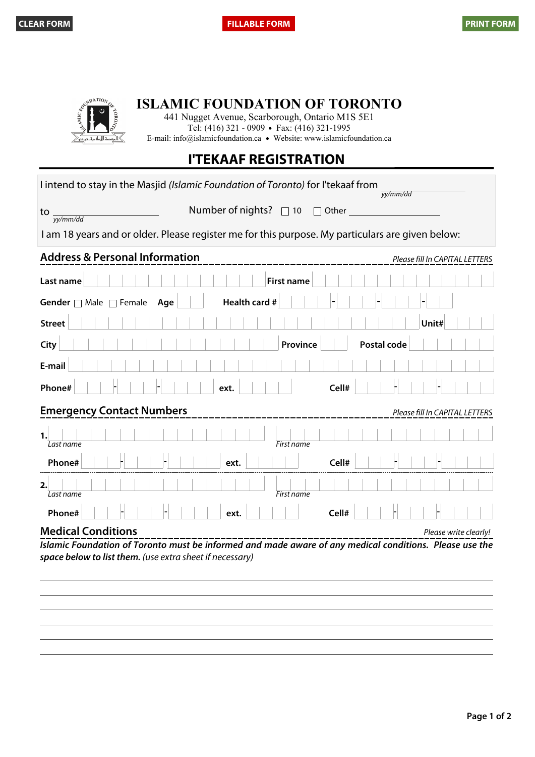

**ISLAMIC FOUNDATION OF TORONTO**

441 Nugget Avenue, Scarborough, Ontario M1S 5E1 Tel: (416) 321 - 0909 • Fax: (416) 321-1995 E-mail: info@islamicfoundation.ca · Website: www.islamicfoundation.ca

## **I'TEKAAF REGISTRATION**

| I intend to stay in the Masjid (Islamic Foundation of Toronto) for I'tekaaf from<br>yy/mm/dd                                                                        |                                |  |  |
|---------------------------------------------------------------------------------------------------------------------------------------------------------------------|--------------------------------|--|--|
| Number of nights? □ 10<br>$\Box$ Other<br>to<br>yy/mm/dd                                                                                                            |                                |  |  |
| I am 18 years and or older. Please register me for this purpose. My particulars are given below:                                                                    |                                |  |  |
| <b>Address &amp; Personal Information</b>                                                                                                                           | Please fill In CAPITAL LETTERS |  |  |
| <b>First name</b><br>Last name                                                                                                                                      |                                |  |  |
| Health card #<br>Gender $\Box$ Male $\Box$ Female<br>Age                                                                                                            |                                |  |  |
| <b>Street</b>                                                                                                                                                       | Unit#                          |  |  |
| Postal code<br>City<br>Province                                                                                                                                     |                                |  |  |
| E-mail                                                                                                                                                              |                                |  |  |
| Phone#<br>Cell#<br>ext.                                                                                                                                             |                                |  |  |
| <b>Emergency Contact Numbers</b><br>Please fill In CAPITAL LETTERS                                                                                                  |                                |  |  |
| 1.<br>Last name<br>First name                                                                                                                                       |                                |  |  |
| Phone#<br>Cell#<br>ext.                                                                                                                                             |                                |  |  |
| 2.<br>First name<br>Last name                                                                                                                                       |                                |  |  |
| Cell#<br>Phone#<br>ext.                                                                                                                                             |                                |  |  |
| <b>Medical Conditions</b>                                                                                                                                           | Please write clearly!          |  |  |
| Islamic Foundation of Toronto must be informed and made aware of any medical conditions. Please use the<br>space below to list them. (use extra sheet if necessary) |                                |  |  |